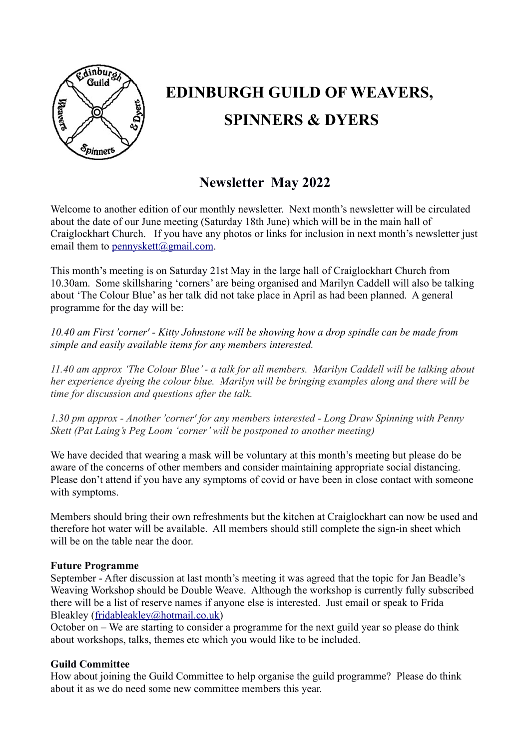

# **EDINBURGH GUILD OF WEAVERS, SPINNERS & DYERS**

# **Newsletter May 2022**

Welcome to another edition of our monthly newsletter. Next month's newsletter will be circulated about the date of our June meeting (Saturday 18th June) which will be in the main hall of Craiglockhart Church. If you have any photos or links for inclusion in next month's newsletter just email them to [pennyskett@gmail.com.](mailto:pennyskett@gmail.com)

This month's meeting is on Saturday 21st May in the large hall of Craiglockhart Church from 10.30am. Some skillsharing 'corners' are being organised and Marilyn Caddell will also be talking about 'The Colour Blue' as her talk did not take place in April as had been planned. A general programme for the day will be:

*10.40 am First 'corner' - Kitty Johnstone will be showing how a drop spindle can be made from simple and easily available items for any members interested.*

*11.40 am approx 'The Colour Blue' - a talk for all members. Marilyn Caddell will be talking about her experience dyeing the colour blue. Marilyn will be bringing examples along and there will be time for discussion and questions after the talk.* 

*1.30 pm approx - Another 'corner' for any members interested - Long Draw Spinning with Penny Skett (Pat Laing's Peg Loom 'corner' will be postponed to another meeting)*

We have decided that wearing a mask will be voluntary at this month's meeting but please do be aware of the concerns of other members and consider maintaining appropriate social distancing. Please don't attend if you have any symptoms of covid or have been in close contact with someone with symptoms.

Members should bring their own refreshments but the kitchen at Craiglockhart can now be used and therefore hot water will be available. All members should still complete the sign-in sheet which will be on the table near the door.

# **Future Programme**

September - After discussion at last month's meeting it was agreed that the topic for Jan Beadle's Weaving Workshop should be Double Weave. Although the workshop is currently fully subscribed there will be a list of reserve names if anyone else is interested. Just email or speak to Frida Bleakley [\(fridableakley@hotmail.co.uk\)](mailto:fridableakley@hotmail.co.uk)

October on – We are starting to consider a programme for the next guild year so please do think about workshops, talks, themes etc which you would like to be included.

# **Guild Committee**

How about joining the Guild Committee to help organise the guild programme? Please do think about it as we do need some new committee members this year.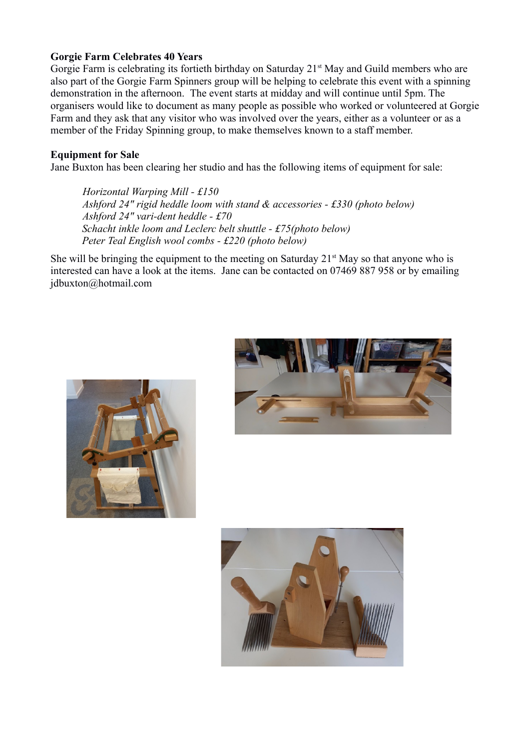# **Gorgie Farm Celebrates 40 Years**

Gorgie Farm is celebrating its fortieth birthday on Saturday 21<sup>st</sup> May and Guild members who are also part of the Gorgie Farm Spinners group will be helping to celebrate this event with a spinning demonstration in the afternoon. The event starts at midday and will continue until 5pm. The organisers would like to document as many people as possible who worked or volunteered at Gorgie Farm and they ask that any visitor who was involved over the years, either as a volunteer or as a member of the Friday Spinning group, to make themselves known to a staff member.

# **Equipment for Sale**

Jane Buxton has been clearing her studio and has the following items of equipment for sale:

*Horizontal Warping Mill - £150 Ashford 24" rigid heddle loom with stand & accessories - £330 (photo below) Ashford 24" vari-dent heddle - £70 Schacht inkle loom and Leclerc belt shuttle - £75(photo below) Peter Teal English wool combs - £220 (photo below)*

She will be bringing the equipment to the meeting on Saturday  $21<sup>st</sup>$  May so that anyone who is interested can have a look at the items. Jane can be contacted on 07469 887 958 or by emailing jdbuxton@hotmail.com





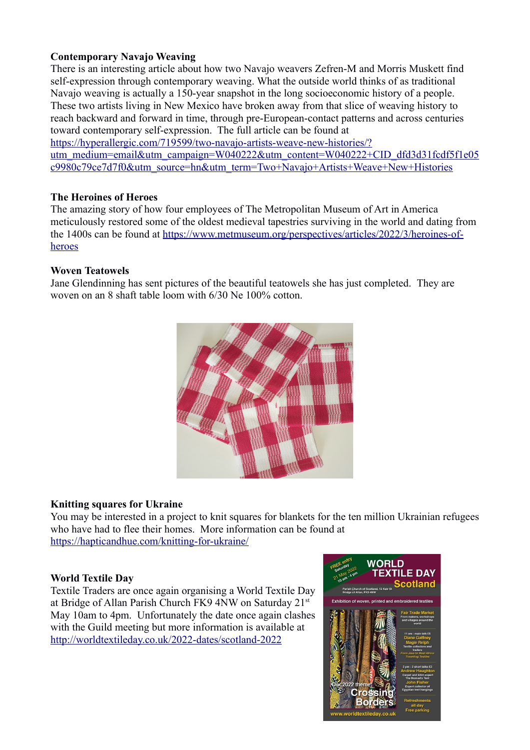# **Contemporary Navajo Weaving**

There is an interesting article about how two Navajo weavers Zefren-M and Morris Muskett find self-expression through contemporary weaving. What the outside world thinks of as traditional Navajo weaving is actually a 150-year snapshot in the long socioeconomic history of a people. These two artists living in New Mexico have broken away from that slice of weaving history to reach backward and forward in time, through pre-European-contact patterns and across centuries toward contemporary self-expression. The full article can be found at

[https://hyperallergic.com/719599/two-navajo-artists-weave-new-histories/?](https://hyperallergic.com/719599/two-navajo-artists-weave-new-histories/?utm_medium=email&utm_campaign=W040222&utm_content=W040222+CID_dfd3d31fcdf5f1e05c9980c79ce7d7f0&utm_source=hn&utm_term=Two+Navajo+Artists+Weave+New+Histories) [utm\\_medium=email&utm\\_campaign=W040222&utm\\_content=W040222+CID\\_dfd3d31fcdf5f1e05](https://hyperallergic.com/719599/two-navajo-artists-weave-new-histories/?utm_medium=email&utm_campaign=W040222&utm_content=W040222+CID_dfd3d31fcdf5f1e05c9980c79ce7d7f0&utm_source=hn&utm_term=Two+Navajo+Artists+Weave+New+Histories) [c9980c79ce7d7f0&utm\\_source=hn&utm\\_term=Two+Navajo+Artists+Weave+New+Histories](https://hyperallergic.com/719599/two-navajo-artists-weave-new-histories/?utm_medium=email&utm_campaign=W040222&utm_content=W040222+CID_dfd3d31fcdf5f1e05c9980c79ce7d7f0&utm_source=hn&utm_term=Two+Navajo+Artists+Weave+New+Histories)

#### **The Heroines of Heroes**

The amazing story of how four employees of The Metropolitan Museum of Art in America meticulously restored some of the oldest medieval tapestries surviving in the world and dating from the 1400s can be found at [https://www.metmuseum.org/perspectives/articles/2022/3/heroines-of](https://www.metmuseum.org/perspectives/articles/2022/3/heroines-of-heroes)[heroes](https://www.metmuseum.org/perspectives/articles/2022/3/heroines-of-heroes)

#### **Woven Teatowels**

Jane Glendinning has sent pictures of the beautiful teatowels she has just completed. They are woven on an 8 shaft table loom with 6/30 Ne 100% cotton.



# **Knitting squares for Ukraine**

You may be interested in a project to knit squares for blankets for the ten million Ukrainian refugees who have had to flee their homes. More information can be found at <https://hapticandhue.com/knitting-for-ukraine/>

# **World Textile Day**

Textile Traders are once again organising a World Textile Day at Bridge of Allan Parish Church FK9 4NW on Saturday 21st May 10am to 4pm. Unfortunately the date once again clashes with the Guild meeting but more information is available at <http://worldtextileday.co.uk/2022-dates/scotland-2022>